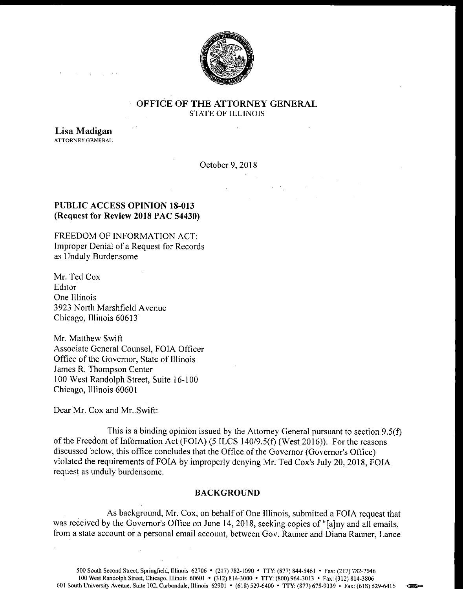

## OFFICE OF THE ATTORNEY GENERAL STATE OF ILLINOIS

Lisa Madigan ATTORNEY GENERAL

October 9, 2018

 $\mathcal{L}_{\text{max}}$  and  $\mathcal{L}_{\text{max}}$ 

# PUBLIC ACCESS OPINION 18-013 Request for Review 2018 PAC 54430)

FREEDOM OF INFORMATION ACT: Improper Denial of <sup>a</sup> Request for Records as Unduly Burdensome

Mr. Ted Cox Editor One Illinois 3923 North Marshfield Avenue Chicago, Illinois 60613

Mr. Matthew Swift Associate General Counsel, FOIA Officer Office of the Governor, State of Illinois James R. Thompson Center 100 West Randolph Street, Suite 16- 100 Chicago, Illinois 60601

Dear Mr. Cox and Mr. Swift:

This is a binding opinion issued by the Attorney General pursuant to section  $9.5(f)$ of the Freedom of Information Act (FOIA) (5 ILCS 140/9.5(f) (West 2016)). For the reasons discussed below, this office concludes that the Office of the Governor (Governor's Office) violated the requirements of FOIA by improperly denying Mr. Ted Cox's July 20, 2018, FOIA request as unduly burdensome.

## BACKGROUND

As background, Mr. Cox, on behalf of One Illinois, submitted a FOIA request that was received by the Governor's Office on June 14, 2018, seeking copies of "[a]ny and all emails, from a state account or a personal email account, between Gov. Rauner and Diana Rauner, Lance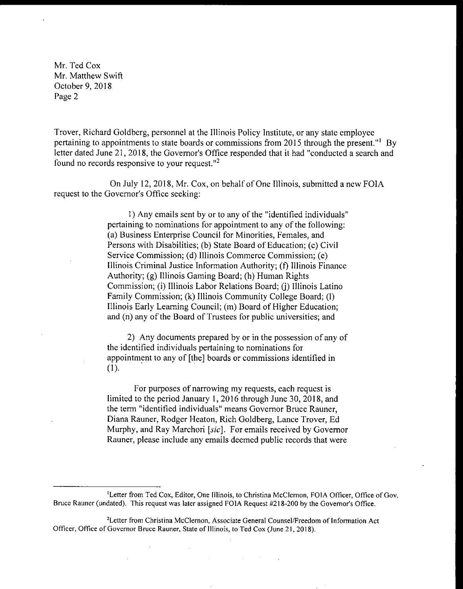Troyer, Richard Goldberg, personnel at the Illinois Policy Institute, or any state employee pertaining to appointments to state boards or commissions from 2015 through the present."<sup>1</sup> By letter dated June 21, 2018, the Governor's Office responded that it had "conducted a search and found no records responsive to your request. $12$ 

On July 12, 2018, Mr. Cox, on behalf of One Illinois, submitted <sup>a</sup> new FOIA request to the Governor's Office seeking:

> 1) Any emails sent by or to any of the " identified individuals" pertaining to nominations for appointment to any of the following: a) Business Enterprise Council for Minorities, Females, and Persons with Disabilities; (b) State Board of Education; (c) Civil Service Commission; (d) Illinois Commerce Commission; (e) Illinois Criminal Justice Information Authority; ( f) Illinois Finance Authority; (g) Illinois Gaming Board; (h) Human Rights Commission; (i) Illinois Labor Relations Board; (j) Illinois Latino Family Commission; (k) Illinois Community College Board; (1) Illinois Early Learning Council; (m) Board of Higher Education; and (n) any of the Board of Trustees for public universities; and

> 2) Any documents prepared by or in the possession of any of the identified individuals pertaining to nominations for appointment to any of [the] boards or commissions identified in  $(1).$

> For purposes of narrowing my requests, each request is limited to the period January 1, 2016 through June 30, 2018, and the term "identified individuals" means Governor Bruce Rauner, Diana Rauner, Rodger Heaton, Rich Goldberg, Lance Troyer, Ed Murphy, and Ray Marchori [sic]. For emails received by Governor Rauner, please include any emails deemed public records that were

<sup>&</sup>lt;sup>1</sup>Letter from Ted Cox, Editor, One Illinois, to Christina McClernon, FOIA Officer, Office of Gov. Bruce Rauner (undated). This request was later assigned FOIA Request #218-200 by the Governor's Office.

<sup>&</sup>lt;sup>2</sup> Letter from Christina McClernon, Associate General Counsel/Freedom of Information Act Officer, Office of Governor Bruce Rauner, State of Illinois, to Ted Cox (June 21, 2018).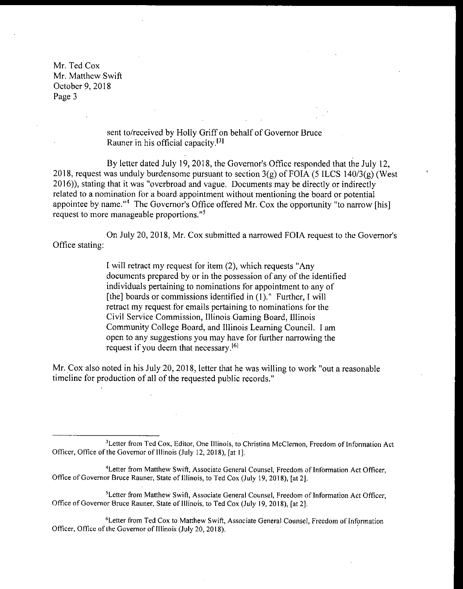> sent to/received by Holly Griff on behalf of Governor Bruce Rauner in his official capacity.<sup>[3]</sup>

By letter dated July 19, 2018, the Governor's Office responded that the July 12, 2018, request was unduly burdensome pursuant to section  $3(g)$  of FOIA (5 ILCS 140/3(g) (West 2016)), stating that it was " overbroad and vague. Documents may be directly or indirectly related to a nomination for a board appointment without mentioning the board or potential appointee by name."<sup>4</sup> The Governor's Office offered Mr. Cox the opportunity "to narrow [his] request to more manageable proportions."<sup>5</sup>

Office stating: On July 20, 2018, Mr. Cox submitted a narrowed FOIA request to the Governor's

> I will retract my request for item (2), which requests "Any documents prepared by or in the possession of any of the identified individuals pertaining to nominations for appointment to any of [the] boards or commissions identified in (1)." Further, I will retract my request for emails pertaining to nominations for the Civil Service Commission, Illinois Gaming Board, Illinois Community College Board, and Illinois Learning Council. I am open to any suggestions you may have for further narrowing the request if you deem that necessary.<sup>[6]</sup>

Mr. Cox also noted in his July 20, 2018, letter that he was willing to work "out a reasonable" timeline for production of all of the requested public records."

<sup>&</sup>lt;sup>3</sup> Letter from Ted Cox, Editor, One Illinois, to Christina McClernon, Freedom of Information Act Officer, Office of the Governor of Illinois (July 12, 2018), [at 1].

Letter from Matthew Swift, Associate General Counsel, Freedom of Information Act Officer, Office of Governor Bruce Rauner, State of Illinois, to Ted Cox (July 19, 2018), [at 2].

<sup>&</sup>lt;sup>5</sup>Letter from Matthew Swift, Associate General Counsel, Freedom of Information Act Officer, Office of Governor Bruce Rauner, State of Illinois, to Ted Cox (July 19, 2018), [at 2].

Letter from Ted Cox to Matthew Swift, Associate General Counsel, Freedom of Information Officer, Office of the Governor of Illinois (July 20, 2018).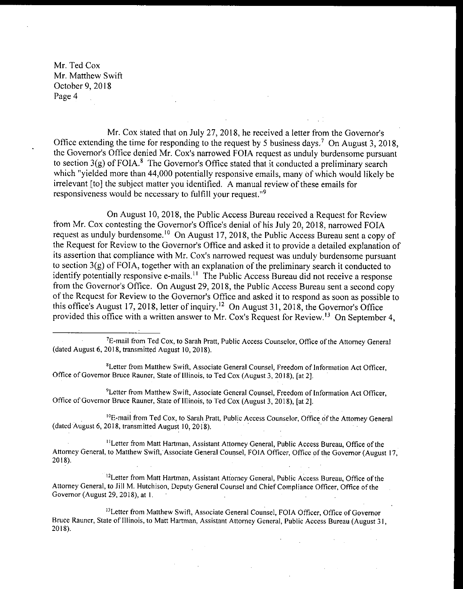Mr. Cox stated that on July 27, 2018, he received a letter from the Governor's Office extending the time for responding to the request by <sup>5</sup> business days.' On August 3, 2018, the Governor's Office denied Mr. Cox's narrowed FOIA request as unduly burdensome pursuant to section  $3(g)$  of FOIA.<sup>8</sup> The Governor's Office stated that it conducted a preliminary search which "yielded more than 44,000 potentially responsive emails, many of which would likely be irrelevant [to] the subject matter you identified. A manual review of these emails for responsiveness would be necessary to fulfill your request."<sup>9</sup>

On August 10, 2018, the Public Access Bureau received a Request for Review from Mr. Cox contesting the Governor's Office's denial of his July 20, 2018, narrowed FOIA request as unduly burdensome.<sup>10</sup> On August 17, 2018, the Public Access Bureau sent a copy of the Request for Review to the Governor's Office and asked it to provide a detailed explanation of its assertion that compliance with Mr. Cox's narrowed request was unduly burdensome pursuant to section  $3(g)$  of FOIA, together with an explanation of the preliminary search it conducted to identify potentially responsive e-mails.<sup>11</sup> The Public Access Bureau did not receive a response from the Governor's Office. On August 29, 2018, the Public Access Bureau sent a second copy of the Request for Review to the Governor's Office and asked it to respond as soon as possible to this office's August 17, 2018, letter of inquiry.<sup>12</sup> On August 31, 2018, the Governor's Office provided this office with a written answer to Mr. Cox's Request for Review. <sup>13</sup> On September 4,

<sup>9</sup>Letter from Matthew Swift, Associate General Counsel, Freedom of Information Act Officer, Office of Governor Bruce Rauner, State of Illinois, to Ted Cox (August 3, 2018), [at 2].

<sup>10</sup>E-mail from Ted Cox, to Sarah Pratt, Public Access Counselor, Office of the Attorney General dated August 6, 2018, transmitted August 10, 2018).

<sup>11</sup> Letter from Matt Hartman, Assistant Attorney General, Public Access Bureau, Office of the Attorney General, to Matthew Swift, Associate General Counsel, FOIA Officer, Office of the Governor (August 17, 2018).

<sup>12</sup>Letter from Matt Hartman, Assistant Attorney General, Public Access Bureau, Office of the Attorney General, to Jill M. Hutchison, Deputy General Counsel and Chief Compliance Officer, Office of the Governor (August 29, 2018), at 1.

<sup>13</sup>Letter from Matthew Swift, Associate General Counsel, FOIA Officer, Office of Governor Bruce Rauner, State of Illinois, to Matt Hartman, Assistant Attorney General, Public Access Bureau ( August 31, 2018).

<sup>&</sup>lt;sup>7</sup>E-mail from Ted Cox, to Sarah Pratt, Public Access Counselor, Office of the Attorney General dated August 6, 2018, transmitted August 10, 2018).

Letter from Matthew Swift, Associate General Counsel, Freedom of Information Act Officer, Office of Governor Bruce Rauner, State of Illinois, to Ted Cox (August 3, 2018), [at 2].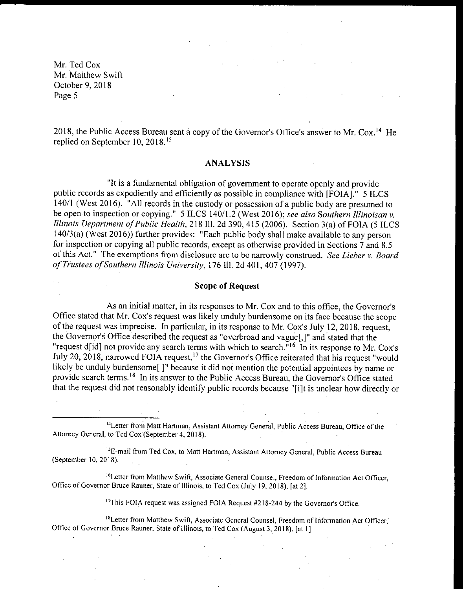2018, the Public Access Bureau sent a copy of the Governor's Office's answer to Mr. Cox.<sup>14</sup> He replied on September 10, 2018. <sup>15</sup>

### ANALYSIS

It is <sup>a</sup> fundamental obligation of government to operate openly and provide public records as expediently and efficiently as possible in compliance with [ FOIA]." 5 ILCS 140/1 (West 2016). "All records in the custody or possession of a public body are presumed to be open to inspection or copying." 5 ILCS 140/1.2 (West 2016); see also Southern Illinoisan v. Illinois Department of Public Health, 218 Ill. 2d 390, 415 (2006). Section 3(a) of FOIA (5 ILCS 140/3(a) (West 2016)) further provides: "Each public body shall make available to any person for inspection or copying all public records, except as otherwise provided in Sections <sup>7</sup> and 8. <sup>5</sup> of this Act." The exemptions from disclosure are to be narrowly construed. See Lieber v. Board of Trustees ofSouthern Illinois University, 176 III. 2d 401, 407 ( 1997).

### Scope of Request

As an initial matter, in its responses to Mr. Cox and to this office, the Governor's Office stated that Mr. Cox's request was likely unduly burdensome on its face because the scope of the request was imprecise. In particular, in its response to Mr. Cox's July 12, 2018, request, the Governor's Office described the request as "overbroad and vague[,]" and stated that the "request d[id] not provide any search terms with which to search.<sup>"16</sup> In its response to Mr. Cox's July 20, 2018, narrowed FOIA request,<sup>17</sup> the Governor's Office reiterated that his request "would likely be unduly burdensome []" because it did not mention the potential appointees by name or provide search terms.<sup>18</sup> In its answer to the Public Access Bureau, the Governor's Office stated that the request did not reasonably identify public records because "[i] t is unclear how directly or

<sup>14</sup> Letter from Matt Hartman, Assistant Attorney General, Public Access Bureau, Office of the to Ted Cox (September 4, 2018). Attorney General, to Ted Cox (September 4, 2018).

<sup>15</sup>E-mail from Ted Cox, to Matt Hartman, Assistant Attorney General, Public Access Bureau September 10, 2018).

<sup>16</sup>Letter from Matthew Swift, Associate General Counsel, Freedom of Information Act Officer, Office of Governor Bruce Rauner, State of Illinois, to Ted Cox (July 19, 2018), [at 2].

 $17$ This FOIA request was assigned FOIA Request #218-244 by the Governor's Office.

18Letter from Matthew Swift, Associate General Counsel, Freedom of Information Act Officer, Office of Governor Bruce Rauner, State of Illinois, to Ted Cox (August 3, 2018), [at 1].  $\mathcal{O}(\mathcal{O}_\mathcal{O})$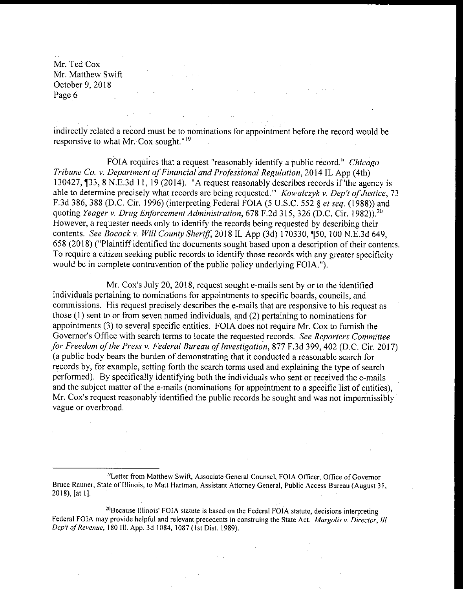indirectly related a record must be to nominations for appointment before the record would be responsive to what Mr. Cox sought."<sup>19</sup>

 $\gamma \rightarrow \gamma \gamma$ 

 $\mathcal{L}(\mathcal{H})$  and  $\mathcal{L}(\mathcal{H})$  and  $\mathcal{L}(\mathcal{H})$ 

FOIA requires that a request "reasonably identify a public record." Chicago Tribune Co. v. Department of Financial and Professional Regulation, 2014 IL App (4th) 130427, ¶ 33, 8 N.E. 3d 11, 19 (2014). "A request reasonably describes records if 'the agency is able to determine precisely what records are being requested." Kowalczyk v. Dep't of Justice, 73 F.3d 386, 388 (D.C. Cir. 1996) (interpreting Federal FOIA (5 U.S.C. 552 § et seq. (1988)) and quoting Yeager v. Drug Enforcement Administration, 678 F.2d 315, 326 (D.C. Cir. 1982)).<sup>20</sup> However, a requester needs only to identify the records being requested by describing their contents. See Bocock v. Will County Sheriff, 2018 IL App (3d) 170330, ¶50, 100 N.E.3d 649, 658 ( 2018) (" Plaintiff identified the documents sought based upon a description of their contents. To require a citizen seeking public records to identify those records with any greater specificity would be in complete contravention of the public policy underlying FOIA.").

Mr. Cox's July 20, 2018, request sought e- mails sent by or to the identified individuals pertaining to nominations for appointments to specific boards, councils, and commissions. His request precisely describes the e- mails that are responsive to his request as those  $(1)$  sent to or from seven named individuals, and  $(2)$  pertaining to nominations for appointments (3) to several specific entities. FOIA does not require Mr. Cox to furnish the Governor's Office with search terms to locate the requested records. See Reporters Committee for Freedom of the Press v. Federal Bureau of Investigation, 877 F.3d 399, 402 (D.C. Cir. 2017) <sup>a</sup> public body bears the burden of demonstrating that it conducted <sup>a</sup> reasonable search for records by, for example, setting forth the search terms used and explaining the type of search performed). By specifically identifying both the individuals who sent or received the e-mails and the subject matter of the e-mails (nominations for appointment to a specific list of entities), Mr. Cox's request reasonably identified the public records he sought and was not impermissibly vague or overbroad.

<sup>19</sup> Letter from Matthew Swift, Associate General Counsel, FOIA Officer, Office of Governor Bruce Rauner, State of Illinois, to Matt Hartman, Assistant Attorney General, Public Access Bureau ( August 31,  $2018$ ,  $[$ at 1].

<sup>20</sup>Because Illinois' FOIA statute is based on the Federal FOIA statute, decisions interpreting Federal FOIA may provide helpful and relevant precedents in construing the State Act. Margolis v. Director, Ill. *Dep't of Revenue,* 180 Ill. App. 3d 1084, 1087 (1st Dist. 1989).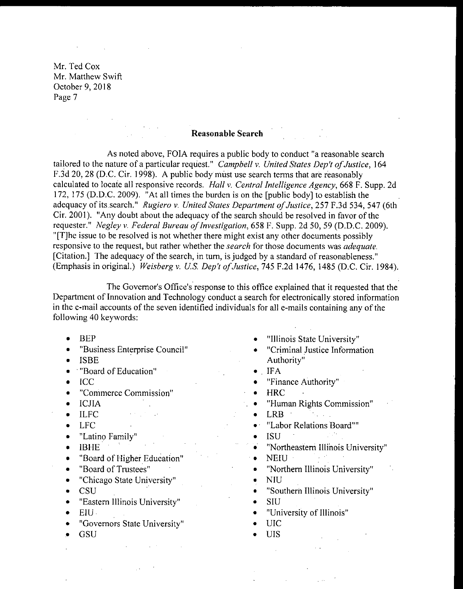### Reasonable Search

As noted above, FOIA requires a public body to conduct "a reasonable search tailored to the nature of a particular request." Campbell v. United States Dep't of Justice, 164 F.3d 20, 28 (D.C. Cir. 1998). A public body must use search terms that are reasonably calculated to locate all responsive records. Hall v. Central Intelligence Agency, 668 F. Supp. 2d 172, 175 (D.D.C. 2009). "At all times the burden is on the [public body] to establish the adequacy of its search." Rugiero v. United States Department of Justice, 257 F.3d 534, 547 (6th Cir. 2001). " Any doubt about the adequacy of the search should be resolved in favor of the requester." Negley v. Federal Bureau of Investigation, 658 F. Supp. 2d 50, 59 (D.D.C. 2009). T] he issue to be resolved is not whether there might exist any other documents possibly responsive to the request, but rather whether the *search* for those documents was *adequate*. Citation.] The adequacy of the search, in turn, is judged by a standard of reasonableness." (Emphasis in original.) Weisberg v. U.S. Dep't of Justice, 745 F.2d 1476, 1485 (D.C. Cir. 1984).

The Governor's Office's response to this office explained that it requested that the Department of Innovation and Technology conduct a search for electronically stored information in the e- mail accounts of the seven identified individuals for all e- mails containing any of the following 40 keywords:

 $\sim$  .

- BEP
- Business Enterprise Council"  $\bullet$
- ISBE  $\bullet$
- **Board of Education"**  $\bullet$
- ICC  $\bullet$
- Commerce Commission"  $\bullet$
- ICJIA  $\bullet$
- $\mathcal{L}(\mathcal{A},\mathcal{B})$  ,  $\mathcal{L}(\mathcal{A})$ • ILFC
- LFC
- Latino Family"
- IBHE  $\bullet$
- $\bullet$ Board of Higher Education"
- Board of Trustees"  $\bullet$
- Chicago State University"
- CSU  $\bullet$
- Eastern Illinois University"  $\bullet$
- EIU
- Governors State University"
- **GSU**
- "Illinois State University"
- "Criminal Justice Information Authority"
- $\bullet$  IFA
- "Finance Authority"  $\bullet$
- **HRC**  $\bullet$
- "Human Rights Commission"  $\bullet$
- LRB and the second second second second second second second second second second second second second second second second second second second second second second second second second second second second second second
- $\bullet$  : "Labor Relations Board""<br>ISU
- ISU  $\bullet$
- ∙ Northeastern Illihois University"
- NEIU : and in the set  $\bullet$
- "Northern Illinois University"  $\bullet$
- $\bullet$ NIU
- $\bullet$ "Southern Illinois University"
- SIU  $\bullet$
- University of Illinois"  $\bullet$
- UIC  $\bullet$  .
- UIS $\bullet$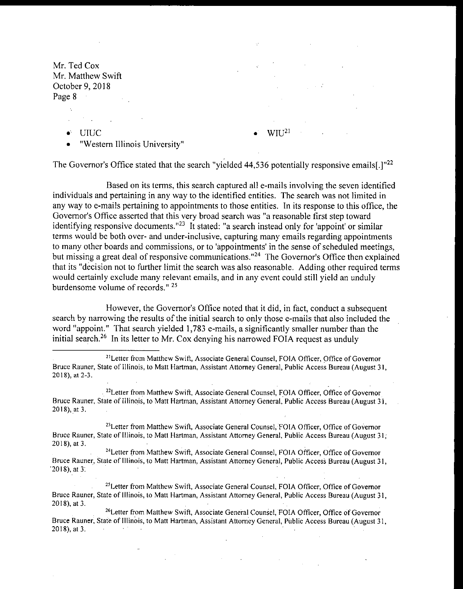- 
- UIUC  $\bullet^\circ$

 $\rm WII^{21}$ 

Western Illinois University"

The Governor's Office stated that the search "yielded  $44,536$  potentially responsive emails[.]"<sup>22</sup>

Based on its terms, this search captured all e- mails involving the seven identified individuals and pertaining in any way to the identified entities. The search was not limited in any way to e-mails pertaining to appointments to those entities. In its response to this office, the Governor's Office asserted that this very broad search was "a reasonable first step toward identifying responsive documents.<sup> $n23$ </sup> It stated: "a search instead only for 'appoint' or similar terms would be both over- and under -inclusive, capturing many emails regarding appointments to many other boards and commissions, or to 'appointments' in the sense of scheduled meetings, but missing a great deal of responsive communications."<sup>24</sup> The Governor's Office then explained that its " decision not to further limit the search was also reasonable. Adding other required terms would certainly exclude many relevant emails, and in any event could still yield an unduly burdensome volume of records." 25

However, the Governor's Office noted that it did, in fact, conduct a subsequent search by narrowing the results of the initial search to only those e- mails that also included the word "appoint." That search yielded 1,783 e-mails, a significantly smaller number than the initial search.<sup>26</sup> In its letter to Mr. Cox denying his narrowed FOIA request as unduly

<sup>22</sup>Letter from Matthew Swift, Associate General Counsel, FOIA Officer, Office of Governor Bruce Rauner, State of Illinois, to Matt Hartman, Assistant Attorney General, Public Access Bureau ( August 31, 2018), at 3.

Bruce Rauner, State of Illinois, to Matt Hartman, Assistant Attorney General, Public Access Bureau ( August 31, 2018), at 3. <sup>23</sup>Letter from Matthew Swift, Associate General Counsel, FOIA Officer, Office of Governor

Bruce Rauner, State of Illinois, to Matt Hartman, Assistant Attorney General, Public Access Bureau ( August 31, 2018), at 3: <sup>24</sup>Letter from Matthew Swift, Associate General Counsel, FOIA Officer, Office of Governor

Bruce Rauner, State ofIllinois, to Matt Hartman, Assistant Attorney General, Public Access Bureau (August 31, 2018), at 3. <sup>25</sup>Letter from Matthew Swift, Associate General Counsel, FOIA Officer, Office of Governor

Bruce Rauner, State of Illinois, to Matt Hartman, Assistant Attorney General, Public Access Bureau (August 31 2018), at 3. <sup>26</sup>Letter from Matthew Swift, Associate General Counsel, FOIA Officer, Office of Governor

<sup>21</sup>Letter from Matthew Swift, Associate General Counsel, FOIA Officer, Office of Governor Bruce Rauner, State of Illinois, to Matt Hartman, Assistant Attorney General, Public Access Bureau ( August 31, 2018), at 2-3.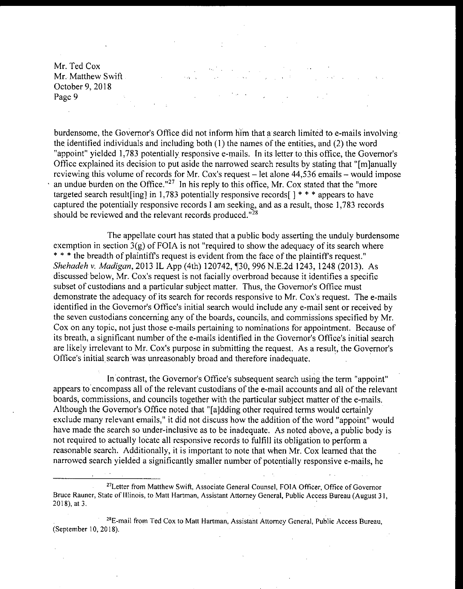Mr. Ted Cox a<br>Santa Santa Santa<br>Santa Santa Santa Santa Santa Santa Santa Santa Santa Santa Santa Santa Santa Santa Santa Santa Santa Santa S Mr. Matthew Swift October 9, 2018 Page 9

burdensome, the Governor's Office did not inform him that a search limited to e-mails involving the identified individuals and including both  $(1)$  the names of the entities, and  $(2)$  the word "appoint" yielded 1,783 potentially responsive e-mails. In its letter to this office, the Governor's Office explained its decision to put aside the narrowed search results by stating that "[ m] anually reviewing this volume of records for Mr. Cox's request – let alone 44,536 emails – would impose an undue burden on the Office."<sup>27</sup> In his reply to this office, Mr. Cox stated that the "more targeted search result [ing] in 1,783 potentially responsive records  $\lceil$  \* \* \* appears to have captured the potentially responsive records I am seeking, and as a result, those 1, 783 records should be reviewed and the relevant records produced." $^{28}$ 

The appellate court has stated that a public body asserting the unduly burdensome exemption in section  $3(g)$  of FOIA is not "required to show the adequacy of its search where \* \* \* the breadth of plaintiff's request is evident from the face of the plaintiff's request." Shehadeh v. Madigan, 2013 IL App (4th) 120742, ¶30, 996 N.E.2d 1243, 1248 (2013). As discussed below, Mr. Cox's request is not facially overbroad because it identifies a specific subset of custodians and a particular subject matter. Thus, the Governor's Office must demonstrate the adequacy of its search for records responsive to Mr. Cox's request. The e-mails identified in the Governor's Office's initial search would include any e-mail sent or received by the seven custodians concerning any of the boards, councils, and commissions specified by Mr. Cox on any topic, not just those e- mails pertaining to nominations for appointment. Because of its breath, a significant number of the e-mails identified in the Governor's Office's initial search are likely irrelevant to Mr. Cox's purpose in submitting the request. As a result, the Governor's Office's initial search was unreasonably broad and therefore inadequate.

In contrast, the Governor's Office's subsequent search using the term "appoint" appears to encompass all of the relevant custodians of the e- mail accounts and all of the relevant boards, commissions, and councils together with the particular subject matter of the e-mails. Although the Governor's Office noted that "[a]dding other required terms would certainly exclude many relevant emails," it did not discuss how the addition of the word " appoint" would have made the search so under -inclusive as to be inadequate. As noted above, a public body is not required to actually locate all responsive records to fulfill its obligation to perform <sup>a</sup> reasonable search. Additionally, it is important to note that when Mr. Cox learned that the narrowed search yielded <sup>a</sup> significantly smaller number of potentially responsive e- mails, he

<sup>27</sup> Letter from Matthew Swift, Associate General Counsel, FOIA Officer, Office of Governor Bruce Rauner, State of Illinois, to Matt Hartman, Assistant Attorney General, Public Access Bureau ( August 31, 2018), at 3.

<sup>28</sup>E-mail from Ted Cox to Matt Hartman, Assistant Attorney General, Public Access Bureau, (September 10, 2018).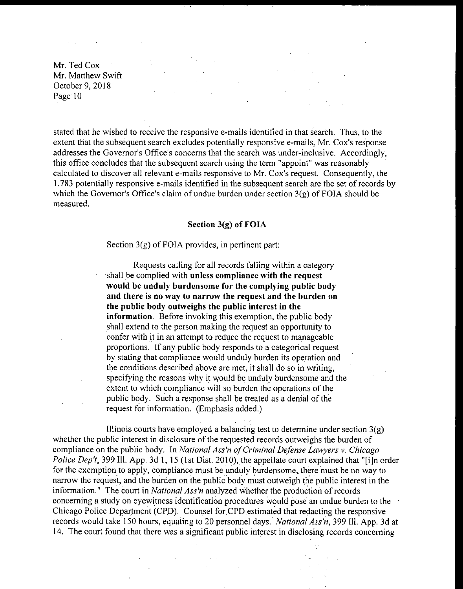$\label{eq:2.1} \frac{1}{\sqrt{2}}\sum_{i=1}^n\frac{1}{\sqrt{2}}\left(\frac{1}{\sqrt{2}}\right)^2\left(\frac{1}{\sqrt{2}}\right)^2\left(\frac{1}{\sqrt{2}}\right)^2\left(\frac{1}{\sqrt{2}}\right)^2.$ Mr. Ted Cox Mr. 1 Su Sux<br>Mr. Matthew Swift October 9, 2018 Page 10

 $\mathcal{A}=\mathcal{A}$  , where  $\mathcal{A}=\mathcal{A}$  is the contribution of the set of  $\mathcal{A}$ 

stated that he wished to receive the responsive e- mails identified in that search. Thus, to the extent that the subsequent search excludes potentially responsive e-mails, Mr. Cox's response addresses the Governor's Office's concerns that the search was under-inclusive. Accordingly, this office concludes that the subsequent search using the term " appoint" was reasonably calculated to discover all relevant e-mails responsive to Mr. Cox's request. Consequently, the 1, 783 potentially responsive e- mails identified in the subsequent search are the set of records by which the Governor's Office's claim of undue burden under section  $3(g)$  of FOIA should be measured.

#### Section  $3(g)$  of FOIA

Section  $3(g)$  of FOIA provides, in pertinent part:

Requests calling for all records falling within a category shall be complied with unless compliance with the request would be unduly burdensome for the complying public body and there is no way to narrow the request and the burden on the public body outweighs the public interest in the information. Before invoking this exemption, the public body shall extend to the person making the request an opportunity to confer with it in an attempt to reduce the request to manageable proportions. If any public body responds to <sup>a</sup> categorical request by stating that compliance would unduly burden its operation and the conditions described above are met, it shall do so in writing, specifying the reasons why it would be unduly burdensome and the extent to which compliance will so burden the operations of the public body. Such a response shall be treated as a denial of the request for information. (Emphasis added.)

Illinois courts have employed a balancing test to determine under section  $3(g)$ whether the public interest in disclosure of the requested records outweighs the burden of compliance on the public body. In National Ass'n of Criminal Defense Lawyers v. Chicago Police Dep't, 399 Ill. App. 3d 1, 15 (1st Dist. 2010), the appellate court explained that "[i]n order for the exemption to apply, compliance must be unduly burdensome, there must be no way to narrow the request, and the burden on the public body must outweigh the public interest in the information." The court in National Ass'n analyzed whether the production of records concerning a study on eyewitness identification procedures would pose an undue burden to the Chicago Police Department (CPD). Counsel for CPD estimated that redacting the responsive records would take 150 hours, equating to 20 personnel days. National Ass'n, 399 Ill. App. 3d at 14. The court found that there was <sup>a</sup> significant public interest in disclosing records concerning

 $\epsilon = 1$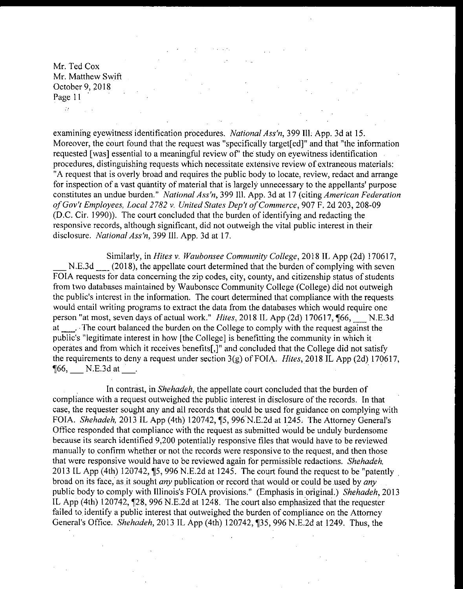$\Delta\chi$  and

examining eyewitness identification procedures. National Ass'n, 399 Ill. App. 3d at 15. Moreover, the court found that the request was "specifically target [ed]" and that "the information requested [was] essential to a meaningful review of" the study on eyewitness identification procedures, distinguishing requests which necessitate extensive review of extraneous materials: A request that is overly broad and requires the public body to locate, review, redact and arrange for inspection of a vast quantity of material that is largely unnecessary to the appellants' purpose constitutes an undue burden." National Ass'n, 399 Ill. App. 3d at 17 (citing American Federation of Gov't Employees, Local 2782 v. United States Dep't of Commerce, 907 F. 2d 203, 208-09 D. C. Cir. 1990)). The court concluded that the burden of identifying and redacting the responsive records, although significant, did not outweigh the vital public interest in their disclosure. National Ass'n, 399 Ill. App. 3d at 17.

Similarly, in *Hites v. Waubonsee Community College*, 2018 IL App (2d) 170617, N.E.3d (2018), the appellate court determined that the burden of complying with seven FOIA requests for data concerning the zip codes, city, county, and citizenship status of students from two databases maintained by Waubonsee Community College (College) did not outweigh the public's interest in the information. The court determined that compliance with the requests would entail writing programs to extract the data from the databases which would require one person "at most, seven days of actual work." Hites, 2018 IL App (2d) 170617, ¶66, N.E.3d at . The court balanced the burden on the College to comply with the request against the public's "legitimate interest in how [the College] is benefitting the community in which it operates and from which it receives benefits[,]" and concluded that the College did not satisfy the requirements to deny a request under section  $3(g)$  of FOIA. Hites, 2018 IL App (2d) 170617,  $\P66$ , N.E.3d at .

In contrast, in Shehadeh, the appellate court concluded that the burden of compliance with a request outweighed the public interest in disclosure of the records. In that case, the requester sought any and all records that could be used for guidance on complying with FOIA. Shehadeh, 2013 IL App (4th) 120742, 15, 996 N.E.2d at 1245. The Attorney General's Office responded that compliance with the request as submitted would be unduly burdensome because its search identified 9,200 potentially responsive files that would have to be reviewed manually to confirm whether or not the records were responsive to the request, and then those that were responsive would have to be reviewed again for permissible redactions. Shehadeh, 2013 IL App (4th) 120742, 15, 996 N.E. 2d at 1245. The court found the request to be "patently broad on its face, as it sought *any* publication or record that would or could be used by *any* public body to comply with Illinois's FOIA provisions." (Emphasis in original.) Shehadeh, 2013 IL App (4th) 120742, ¶28, 996 N.E.2d at 1248. The court also emphasized that the requester failed to identify a public interest that outweighed the burden of compliance on the Attorney General's Office. Shehadeh, 2013 IL App (4th) 120742, ¶35, 996 N.E.2d at 1249. Thus, the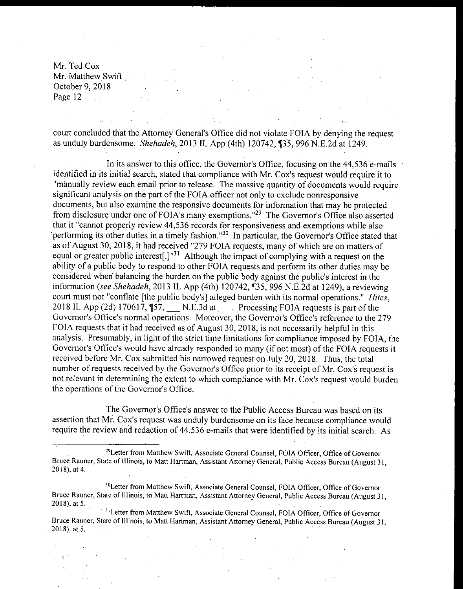$\mathcal{A}^{\mathcal{A}}$  and  $\mathcal{A}^{\mathcal{A}}$  are the set of the set of  $\mathcal{A}^{\mathcal{A}}$ 

court concluded that the Attorney General's Office did not violate FOIA by denying the request as unduly burdensome. Shehadeh, 2013 IL App (4th) 120742, ¶35, 996 N.E.2d at 1249.

In its answer to this office, the Governor's Office, focusing on the 44,536 e-mails identified in its initial search, stated that compliance with Mr. Cox's request would require it to manually review each email prior to release. The massive quantity of documents would require significant analysis on the part of the FOIA officer not only to exclude nonresponsive documents, but also examine the responsive documents for information that may be protected from disclosure under one of FOIA's many exemptions."<sup>29</sup> The Governor's Office also asserted that it "cannot properly review 44,536 records for responsiveness and exemptions while also performing its other duties in a timely fashion."<sup>30</sup> In particular, the Governor's Office stated that as of August 30, 2018, it had received "279 FOIA requests, many of which are on matters of equal or greater public interest<sup>[1]</sup><sup>31</sup> Although the impact of complying with a request on the ability of a public body to respond to other FOIA requests and perform its other duties may be considered when balancing the burden on the public body against the public's interest in the information (see Shehadeh, 2013 IL App (4th) 120742,  $$35,996$  N.E. 2d at 1249), a reviewing court must not "conflate [the public body's] alleged burden with its normal operations." Hites, 2018 IL App (2d) 170617,  $\$\text{57}, \_\_\text{N.E.3d at}$ . Processing FOIA requests is part of the Governor's Office's normal operations. Moreover, the Governor's Office's reference to the 279 FOIA requests that it had received as of August 30, 2018, is not necessarily helpful in this analysis. Presumably, in light of the strict time limitations for compliance imposed by FOIA, the Governor's Office's would have already responded to many (if not most) of the FOIA requests it received before Mr. Cox submitted his narrowed request on July 20, 2018. Thus, the total number of requests received by the Governor's Office prior to its receipt of Mr. Cox's request is not relevant in determining the extent to which compliance with Mr. Cox's request would burden the operations of the Governor's Office.

The Governor's Office's answer to the Public Access Bureau was based on its assertion that Mr. Cox's request was unduly burdensome on its face because compliance would require the review and redaction of 44,536 e-mails that were identified by its initial search. As

<sup>&</sup>lt;sup>29</sup> Letter from Matthew Swift, Associate General Counsel, FOIA Officer, Office of Governor Bruce Rauner, State of Illinois, to Matt Hartman, Assistant Attorney General, Public Access Bureau (August 31, 2018), at 4.

<sup>&</sup>lt;sup>30</sup>Letter from Matthew Swift, Associate General Counsel, FOIA Officer, Office of Governor Bruce Rauner, State of Illinois, to Matt Hartman, Assistant. Attorney General, Public Access Bureau ( August 31, 2018), at 5.

<sup>&</sup>lt;sup>31</sup>Letter from Matthew Swift, Associate General Counsel, FOIA Officer, Office of Governor Bruce Rauner, State of Illinois, to Matt Hartman, Assistant Attorney General, Public Access Bureau ( August 31, 2018), at 5.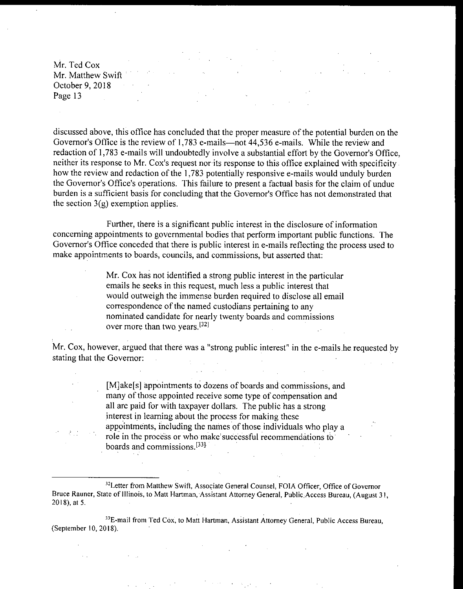discussed above, this office has concluded that the proper measure of the potential burden on the Governor's Office is the review of 1,783 e-mails—not 44,536 e-mails. While the review and redaction of 1,783 e-mails will undoubtedly involve a substantial effort by the Governor's Office, neither its response to Mr. Cox's request nor its response to this office explained with specificity. how the review and redaction of the 1,783 potentially responsive e-mails would unduly burden the Governor's Office's operations. This failure to present a factual basis for the claim of undue burden is a sufficient basis for concluding that the Governor's Office has not demonstrated that the section  $3(g)$  exemption applies.

Further, there is <sup>a</sup> significant public interest in the disclosure of information concerning appointments to governmental bodies that perform important public functions. The Governor's Office conceded that there is public interest in e-mails reflecting the process used to make appointments to boards, councils, and commissions, but asserted that:

> Mr. Cox has not identified <sup>a</sup> strong public interest in the particular emails he seeks in this request, much Less a public interest that would outweigh the immense burden required to disclose all email correspondence of the named custodians pertaining to any nominated candidate for nearly twenty boards and commissions over more than two years.<sup>[32]</sup>

Mr. Cox, however, argued that there was a " strong public interest" in the e- mails he requested by stating that the Governor: 

> [M] ake[s] appointments to dozens of boards and commissions, and many of those appointed receive some type of compensation and all are paid for with taxpayer dollars. The public has a strong interest in learning about the process for making these appointments, including the names of those individuals who play a role in the process or who make successful recommendations to boards and commissions.<sup>[33]</sup>

<sup>32</sup>Letter from Matthew Swift, Associate General Counsel, FOIA Officer, Office of Governor Bruce Rauner, State of Illinois, to Matt Hartman, Assistant Attorney General, Public: Access Bureau, ( August 31,  $2018$ , at 5.

<sup>33</sup>E-mail from Ted Cox, to Matt Hartman, Assistant Attorney General, Public Access Bureau, September 10, 2018).

 $\mathcal{A}$  and  $\mathcal{A}$  are  $\mathcal{A}$  . As in  $\mathcal{A}$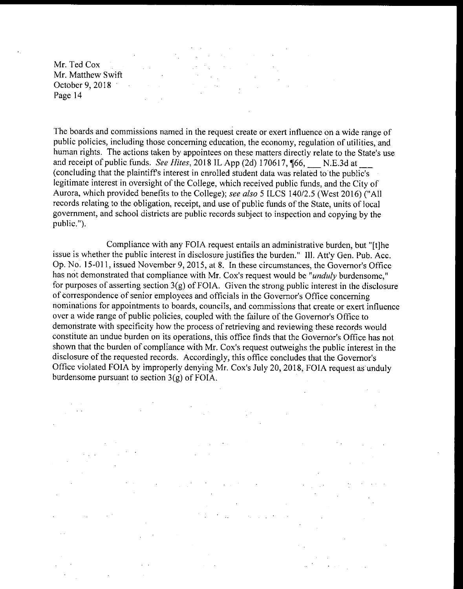$\mathcal{L}(\mathcal{A})$  and  $\mathcal{L}(\mathcal{A})$ 

 $\mathcal{L}^{\text{max}}_{\text{max}}$  and  $\mathcal{L}^{\text{max}}_{\text{max}}$  $\mathcal{F}=\{x_{1},\ldots$  $\sim 10^{11}$  km  $^{-1}$  $\mathcal{A}^{\text{max}}_{\text{max}}$ 

The boards and commissions named in the request create or exert influence on <sup>a</sup> wide range of public policies, including those concerning education, the economy, regulation of utilities, and human rights. The actions taken by appointees on these matters directly relate to the State's use and receipt of public funds. See Hites, 2018 IL App (2d) 170617,  $\frac{6}{5}$  N.E.3d at \_\_ concluding that the plaintiff's interest in enrolled student data was related to the public's legitimate interest in oversight of the College, which received public funds, and the City of Aurora, which provided benefits to the College); see also 5 ILCS 140/2.5 (West 2016) ("All records relating to the obligation, receipt, and use of public funds of the State, units of local government, and school districts are public records subject to inspection and copying by the public.").

Compliance with any FOIA request entails an administrative burden, but "[t] he issue is whether the public interest in disclosure justifies the burden." Ill. Att'y Gen. Pub. Acc. Op. No. 15-011, issued November 9, 2015, at 8. In these circumstances, the Governor's Office has not demonstrated that compliance with Mr. Cox's request would be "unduly burdensome," for purposes of asserting section  $3(g)$  of FOIA. Given the strong public interest in the disclosure of correspondence of senior employees and officials in the Governor's Office concerning nominations for appointments to boards, councils, and commissions that create or exert influence over a wide range of public policies, coupled with the failure of the Governor's Office to demonstrate with specificity how the process of retrieving and reviewing these records would constitute an undue burden on its operations, this office finds that the Governor's Office has not shown that the burden of compliance with Mr. Cox's request outweighs the public interest in the disclosure of the requested records. Accordingly, this office concludes that the Governor's Office violated FOIA by improperly denying Mr. Cox's July 20, 2018, FOIA request as unduly burdensome pursuant to section  $3(g)$  of FOIA.

 $\sim 10^{-11}$ 医关节  $\sim 100$  $\sim 10^{-1}$  $\mathcal{O}(\log n)$  .  $\mathcal{L}_{\mathrm{in}}$ 

 $\mathcal{L}^{\mathcal{L}}$ 

 $\mathcal{A}$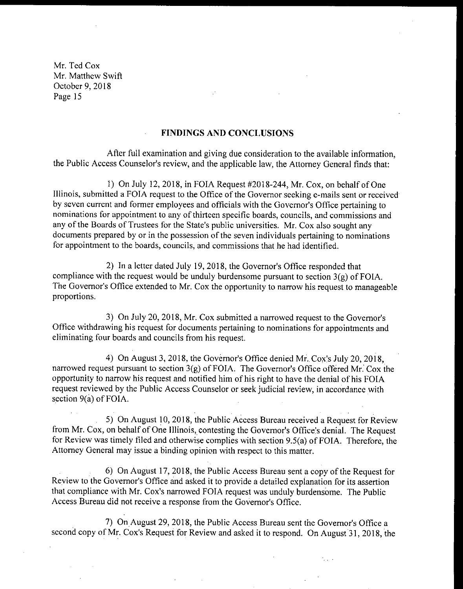### FINDINGS AND CONCLUSIONS

After full examination and giving due consideration to the available information, the Public Access Counselor's review, and the applicable law, the Attorney General finds that:

1) On July 12, 2018, in FOIA Request  $#2018-244$ , Mr. Cox, on behalf of One Illinois, submitted <sup>a</sup> FOIA request to the Office of the Governor seeking e- mails sent or received by seven current and former employees and officials with the Governor's Office pertaining to nominations for appointment to any of thirteen specific boards, councils, and commissions and any of the Boards of Trustees for the State's public universities. Mr. Cox also sought any documents prepared by or in the possession of the seven individuals pertaining to nominations for appointment to the boards, councils, and commissions that he had identified.

2) In a letter dated July 19, 2018, the Governor's Office responded that compliance with the request would be unduly burdensome pursuant to section  $3(g)$  of FOIA. The Governor's Office extended to Mr. Cox the opportunity to narrow his request to manageable proportions.

3) On July 20, 2018, Mr. Cox submitted a narrowed request to the Governor's Office withdrawing his request for documents pertaining to nominations for appointments and eliminating four boards and councils from his request.

4) On August 3, 2018, the Governor's Office denied Mr. Cox's July 20, 2018, narrowed request pursuant to section  $3(g)$  of FOIA. The Governor's Office offered Mr. Cox the opportunity to narrow his request and notified him of his right to have the denial of his FOIA request reviewed by the Public Access Counselor or seek judicial review, in accordance with section  $9(a)$  of FOIA.

5) On August 10, 2018, the Public Access Bureau received a Request for Review from Mr. Cox, on behalf of One Illinois, contesting the Governor's Office's denial. The Request for Review was timely filed and otherwise complies with section 9.5(a) of FOIA. Therefore, the Attorney General may issue a binding opinion with respect to this matter.

6) On August 17, 2018, the Public Access Bureau sent a copy of the Request for Review to the Governor's Office and asked it to provide a detailed explanation for its assertion that compliance with Mr. Cox's narrowed FOIA request was unduly burdensome. The Public Access Bureau did not receive a response from the Governor's Office.

7) On August 29, 2018, the Public Access Bureau sent the Governor's Office a second copy of Mr. Cox's Request for Review and asked it to respond. On August 31, 2018, the

K.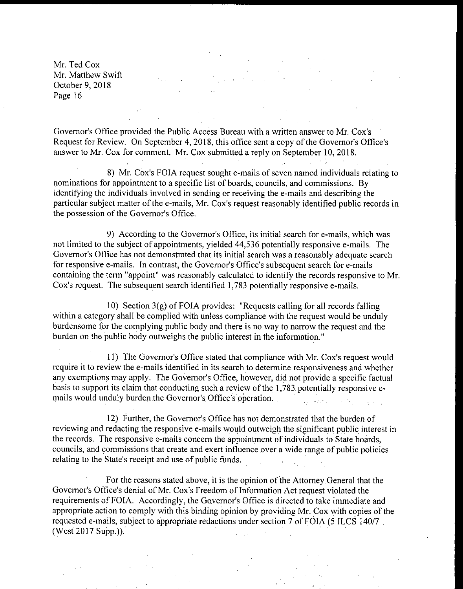Governor's Office provided the Public Access Bureau with a written answer to Mr. Cox's Request for Review. On September 4, 2018, this office sent a copy of the Governor's Office's answer to Mr. Cox for comment. Mr. Cox submitted a reply on September 10, 2018.

8) Mr. Cox's FOIA request sought e-mails of seven named individuals relating to nominations for appointment to <sup>a</sup> specific list of boards, councils, and commissions. By identifying the individuals involved in sending or receiving the e- mails and describing the particular subject matter of the e-mails, Mr. Cox's request reasonably identified public records in the possession of the Governor's Office.

9) According to the Governor's Office, its initial search for e-mails, which was not limited to the subject of appointments, yielded 44, 536 potentially responsive e- mails. The Governor's Office has not demonstrated that its initial search was a reasonably adequate search for responsive e-mails. In contrast, the Governor's Office's subsequent search for e-mails containing the term "appoint" was reasonably calculated to identify the records responsive to Mr. Cox's request. The subsequent search identified 1,783 potentially responsive e-mails.

10) Section  $3(g)$  of FOIA provides: "Requests calling for all records falling within a category shall be complied with unless compliance with the request would be unduly burdensome for the complying public body and there is no way to narrow the request and the burden on the public body outweighs the public interest in the information."

11) The Governor's Office stated that compliance with Mr. Cox's request would require it to review the e- mails identified in its search to determine responsiveness and whether any exemptions may apply. The Governor's Office, however, did not provide a specific factual basis to support its claim that conducting such a review of the 1, 783. potentially responsive emails would unduly burden the Governor's Office's operation. 

12) Further, the Governor's Office has not demonstrated that the burden of reviewing and redacting the responsive e-mails would outweigh the significant public interest in the records. The responsive e-mails concern the appointment of individuals to State boards, councils, and commissions that create and exert influence over <sup>a</sup> wide range of public policies relating to the State's receipt and use of public funds.

For the reasons stated above, it is the opinion of the Attorney General that the Governor's Office's denial of Mr. Cox's Freedom of Information Act request violated the requirements of FOIA. Accordingly, the Governor's Office is directed to take immediate and appropriate action to comply with this binding opinion by providing Mr. Cox with copies of the requested e-mails, subject to appropriate redactions under section 7 of FOIA (5 ILCS 140/7 West 2017 Supp.)).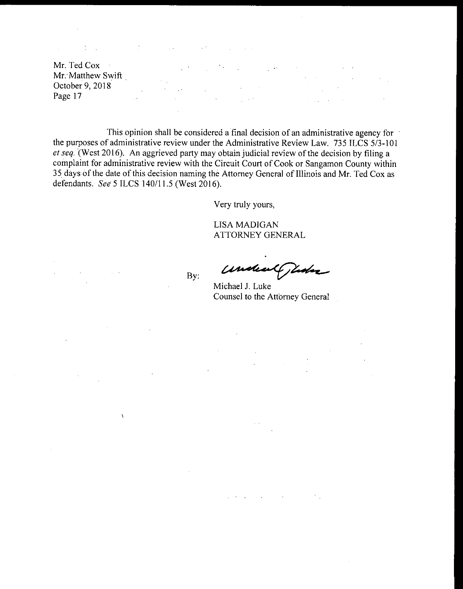$\sim 10^{12}$ 

Mr. Ted Cox Mr. Matthew Swift October 9, 2018 Page 17  $\mathcal{L}^{\text{max}}$  and  $\mathcal{L}^{\text{max}}$ 

This opinion shall be considered a final decision of an administrative agency for the purposes of administrative review under the Administrative Review Law. 735 ILCS 5/3-101 et seq. ( West 2016). An aggrieved party may obtain judicial review of the decision by filing <sup>a</sup> complaint for administrative review with the Circuit Court of Cook or Sangamon County within 35 days of the date of this decision naming the Attomey General of Illinois and Mr. Ted Cox as defendants. See 5 ILCS 140/11.5 (West 2016).

Very truly yours,

LISA MADIGAN ATTORNEY GENERAL

By:

 $\alpha=1$ 

 $\chi$ 

undeal juda

Michael J. Luke Counsel to the Attorney General